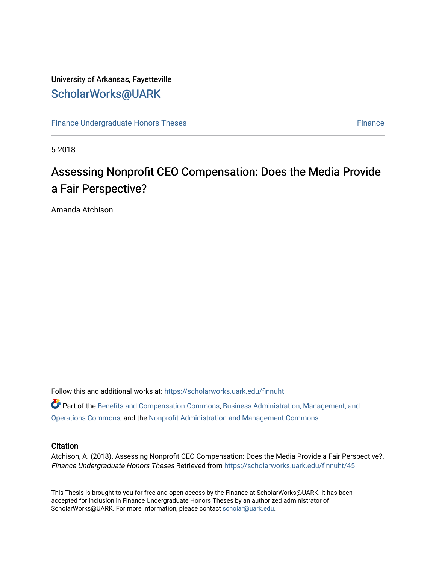# University of Arkansas, Fayetteville [ScholarWorks@UARK](https://scholarworks.uark.edu/)

[Finance Undergraduate Honors Theses](https://scholarworks.uark.edu/finnuht) [Finance](https://scholarworks.uark.edu/finn) **Finance Finance** 

5-2018

# Assessing Nonprofit CEO Compensation: Does the Media Provide a Fair Perspective?

Amanda Atchison

Follow this and additional works at: [https://scholarworks.uark.edu/finnuht](https://scholarworks.uark.edu/finnuht?utm_source=scholarworks.uark.edu%2Ffinnuht%2F45&utm_medium=PDF&utm_campaign=PDFCoverPages)

Part of the [Benefits and Compensation Commons,](http://network.bepress.com/hgg/discipline/1255?utm_source=scholarworks.uark.edu%2Ffinnuht%2F45&utm_medium=PDF&utm_campaign=PDFCoverPages) [Business Administration, Management, and](http://network.bepress.com/hgg/discipline/623?utm_source=scholarworks.uark.edu%2Ffinnuht%2F45&utm_medium=PDF&utm_campaign=PDFCoverPages)  [Operations Commons](http://network.bepress.com/hgg/discipline/623?utm_source=scholarworks.uark.edu%2Ffinnuht%2F45&utm_medium=PDF&utm_campaign=PDFCoverPages), and the [Nonprofit Administration and Management Commons](http://network.bepress.com/hgg/discipline/1228?utm_source=scholarworks.uark.edu%2Ffinnuht%2F45&utm_medium=PDF&utm_campaign=PDFCoverPages) 

# **Citation**

Atchison, A. (2018). Assessing Nonprofit CEO Compensation: Does the Media Provide a Fair Perspective?. Finance Undergraduate Honors Theses Retrieved from [https://scholarworks.uark.edu/finnuht/45](https://scholarworks.uark.edu/finnuht/45?utm_source=scholarworks.uark.edu%2Ffinnuht%2F45&utm_medium=PDF&utm_campaign=PDFCoverPages) 

This Thesis is brought to you for free and open access by the Finance at ScholarWorks@UARK. It has been accepted for inclusion in Finance Undergraduate Honors Theses by an authorized administrator of ScholarWorks@UARK. For more information, please contact [scholar@uark.edu](mailto:scholar@uark.edu).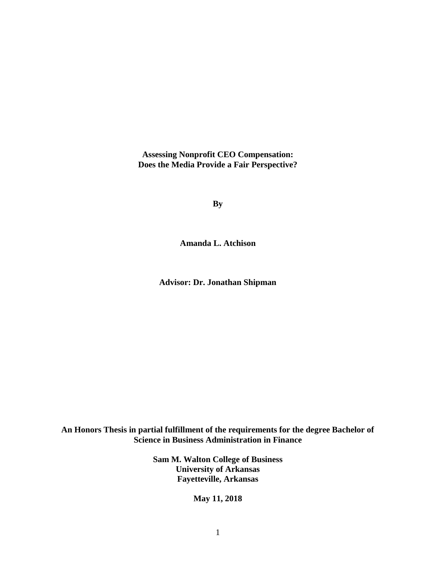**Assessing Nonprofit CEO Compensation: Does the Media Provide a Fair Perspective?**

**By**

**Amanda L. Atchison**

**Advisor: Dr. Jonathan Shipman**

**An Honors Thesis in partial fulfillment of the requirements for the degree Bachelor of Science in Business Administration in Finance**

> **Sam M. Walton College of Business University of Arkansas Fayetteville, Arkansas**

> > **May 11, 2018**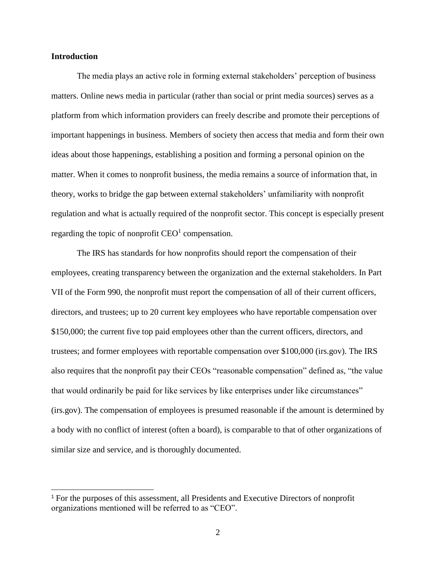# **Introduction**

 $\overline{a}$ 

The media plays an active role in forming external stakeholders' perception of business matters. Online news media in particular (rather than social or print media sources) serves as a platform from which information providers can freely describe and promote their perceptions of important happenings in business. Members of society then access that media and form their own ideas about those happenings, establishing a position and forming a personal opinion on the matter. When it comes to nonprofit business, the media remains a source of information that, in theory, works to bridge the gap between external stakeholders' unfamiliarity with nonprofit regulation and what is actually required of the nonprofit sector. This concept is especially present regarding the topic of nonprofit  $CEO<sup>1</sup>$  compensation.

The IRS has standards for how nonprofits should report the compensation of their employees, creating transparency between the organization and the external stakeholders. In Part VII of the Form 990, the nonprofit must report the compensation of all of their current officers, directors, and trustees; up to 20 current key employees who have reportable compensation over \$150,000; the current five top paid employees other than the current officers, directors, and trustees; and former employees with reportable compensation over \$100,000 (irs.gov). The IRS also requires that the nonprofit pay their CEOs "reasonable compensation" defined as, "the value that would ordinarily be paid for like services by like enterprises under like circumstances" (irs.gov). The compensation of employees is presumed reasonable if the amount is determined by a body with no conflict of interest (often a board), is comparable to that of other organizations of similar size and service, and is thoroughly documented.

<sup>1</sup> For the purposes of this assessment, all Presidents and Executive Directors of nonprofit organizations mentioned will be referred to as "CEO".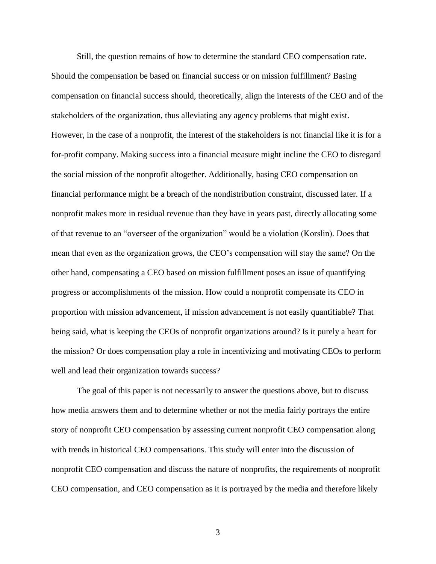Still, the question remains of how to determine the standard CEO compensation rate. Should the compensation be based on financial success or on mission fulfillment? Basing compensation on financial success should, theoretically, align the interests of the CEO and of the stakeholders of the organization, thus alleviating any agency problems that might exist. However, in the case of a nonprofit, the interest of the stakeholders is not financial like it is for a for-profit company. Making success into a financial measure might incline the CEO to disregard the social mission of the nonprofit altogether. Additionally, basing CEO compensation on financial performance might be a breach of the nondistribution constraint, discussed later. If a nonprofit makes more in residual revenue than they have in years past, directly allocating some of that revenue to an "overseer of the organization" would be a violation (Korslin). Does that mean that even as the organization grows, the CEO's compensation will stay the same? On the other hand, compensating a CEO based on mission fulfillment poses an issue of quantifying progress or accomplishments of the mission. How could a nonprofit compensate its CEO in proportion with mission advancement, if mission advancement is not easily quantifiable? That being said, what is keeping the CEOs of nonprofit organizations around? Is it purely a heart for the mission? Or does compensation play a role in incentivizing and motivating CEOs to perform well and lead their organization towards success?

The goal of this paper is not necessarily to answer the questions above, but to discuss how media answers them and to determine whether or not the media fairly portrays the entire story of nonprofit CEO compensation by assessing current nonprofit CEO compensation along with trends in historical CEO compensations. This study will enter into the discussion of nonprofit CEO compensation and discuss the nature of nonprofits, the requirements of nonprofit CEO compensation, and CEO compensation as it is portrayed by the media and therefore likely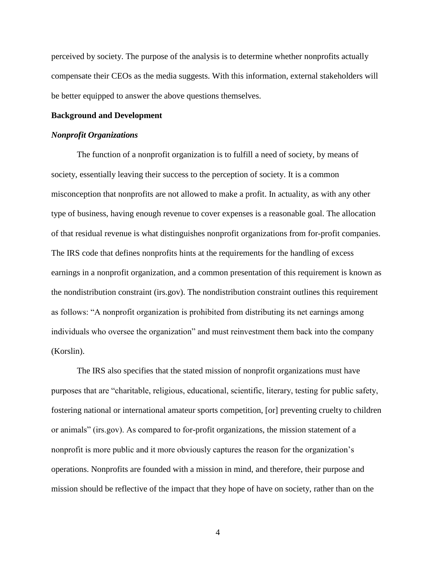perceived by society. The purpose of the analysis is to determine whether nonprofits actually compensate their CEOs as the media suggests. With this information, external stakeholders will be better equipped to answer the above questions themselves.

## **Background and Development**

#### *Nonprofit Organizations*

The function of a nonprofit organization is to fulfill a need of society, by means of society, essentially leaving their success to the perception of society. It is a common misconception that nonprofits are not allowed to make a profit. In actuality, as with any other type of business, having enough revenue to cover expenses is a reasonable goal. The allocation of that residual revenue is what distinguishes nonprofit organizations from for-profit companies. The IRS code that defines nonprofits hints at the requirements for the handling of excess earnings in a nonprofit organization, and a common presentation of this requirement is known as the nondistribution constraint (irs.gov). The nondistribution constraint outlines this requirement as follows: "A nonprofit organization is prohibited from distributing its net earnings among individuals who oversee the organization" and must reinvestment them back into the company (Korslin).

The IRS also specifies that the stated mission of nonprofit organizations must have purposes that are "charitable, religious, educational, scientific, literary, testing for public safety, fostering national or international amateur sports competition, [or] preventing cruelty to children or animals" (irs.gov). As compared to for-profit organizations, the mission statement of a nonprofit is more public and it more obviously captures the reason for the organization's operations. Nonprofits are founded with a mission in mind, and therefore, their purpose and mission should be reflective of the impact that they hope of have on society, rather than on the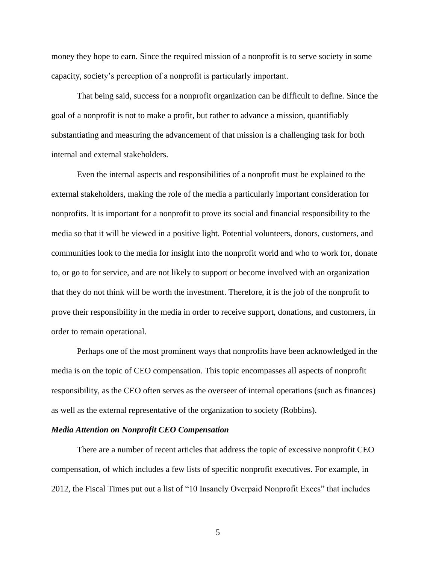money they hope to earn. Since the required mission of a nonprofit is to serve society in some capacity, society's perception of a nonprofit is particularly important.

That being said, success for a nonprofit organization can be difficult to define. Since the goal of a nonprofit is not to make a profit, but rather to advance a mission, quantifiably substantiating and measuring the advancement of that mission is a challenging task for both internal and external stakeholders.

Even the internal aspects and responsibilities of a nonprofit must be explained to the external stakeholders, making the role of the media a particularly important consideration for nonprofits. It is important for a nonprofit to prove its social and financial responsibility to the media so that it will be viewed in a positive light. Potential volunteers, donors, customers, and communities look to the media for insight into the nonprofit world and who to work for, donate to, or go to for service, and are not likely to support or become involved with an organization that they do not think will be worth the investment. Therefore, it is the job of the nonprofit to prove their responsibility in the media in order to receive support, donations, and customers, in order to remain operational.

Perhaps one of the most prominent ways that nonprofits have been acknowledged in the media is on the topic of CEO compensation. This topic encompasses all aspects of nonprofit responsibility, as the CEO often serves as the overseer of internal operations (such as finances) as well as the external representative of the organization to society (Robbins).

## *Media Attention on Nonprofit CEO Compensation*

There are a number of recent articles that address the topic of excessive nonprofit CEO compensation, of which includes a few lists of specific nonprofit executives. For example, in 2012, the Fiscal Times put out a list of "10 Insanely Overpaid Nonprofit Execs" that includes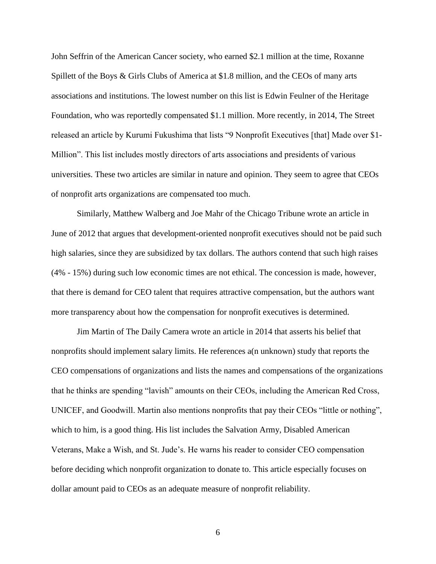John Seffrin of the American Cancer society, who earned \$2.1 million at the time, Roxanne Spillett of the Boys & Girls Clubs of America at \$1.8 million, and the CEOs of many arts associations and institutions. The lowest number on this list is Edwin Feulner of the Heritage Foundation, who was reportedly compensated \$1.1 million. More recently, in 2014, The Street released an article by Kurumi Fukushima that lists "9 Nonprofit Executives [that] Made over \$1- Million". This list includes mostly directors of arts associations and presidents of various universities. These two articles are similar in nature and opinion. They seem to agree that CEOs of nonprofit arts organizations are compensated too much.

Similarly, Matthew Walberg and Joe Mahr of the Chicago Tribune wrote an article in June of 2012 that argues that development-oriented nonprofit executives should not be paid such high salaries, since they are subsidized by tax dollars. The authors contend that such high raises (4% - 15%) during such low economic times are not ethical. The concession is made, however, that there is demand for CEO talent that requires attractive compensation, but the authors want more transparency about how the compensation for nonprofit executives is determined.

Jim Martin of The Daily Camera wrote an article in 2014 that asserts his belief that nonprofits should implement salary limits. He references a(n unknown) study that reports the CEO compensations of organizations and lists the names and compensations of the organizations that he thinks are spending "lavish" amounts on their CEOs, including the American Red Cross, UNICEF, and Goodwill. Martin also mentions nonprofits that pay their CEOs "little or nothing", which to him, is a good thing. His list includes the Salvation Army, Disabled American Veterans, Make a Wish, and St. Jude's. He warns his reader to consider CEO compensation before deciding which nonprofit organization to donate to. This article especially focuses on dollar amount paid to CEOs as an adequate measure of nonprofit reliability.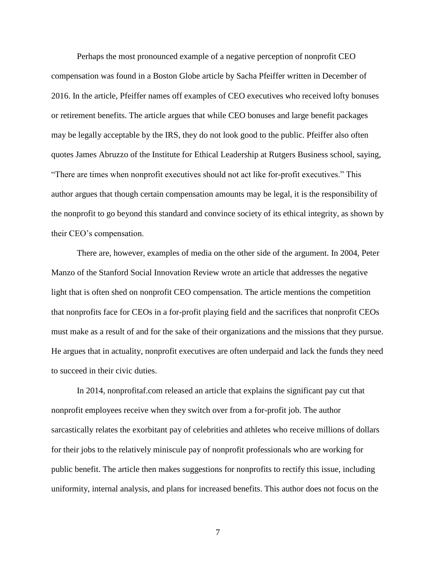Perhaps the most pronounced example of a negative perception of nonprofit CEO compensation was found in a Boston Globe article by Sacha Pfeiffer written in December of 2016. In the article, Pfeiffer names off examples of CEO executives who received lofty bonuses or retirement benefits. The article argues that while CEO bonuses and large benefit packages may be legally acceptable by the IRS, they do not look good to the public. Pfeiffer also often quotes James Abruzzo of the Institute for Ethical Leadership at Rutgers Business school, saying, "There are times when nonprofit executives should not act like for-profit executives." This author argues that though certain compensation amounts may be legal, it is the responsibility of the nonprofit to go beyond this standard and convince society of its ethical integrity, as shown by their CEO's compensation.

There are, however, examples of media on the other side of the argument. In 2004, Peter Manzo of the Stanford Social Innovation Review wrote an article that addresses the negative light that is often shed on nonprofit CEO compensation. The article mentions the competition that nonprofits face for CEOs in a for-profit playing field and the sacrifices that nonprofit CEOs must make as a result of and for the sake of their organizations and the missions that they pursue. He argues that in actuality, nonprofit executives are often underpaid and lack the funds they need to succeed in their civic duties.

In 2014, nonprofitaf.com released an article that explains the significant pay cut that nonprofit employees receive when they switch over from a for-profit job. The author sarcastically relates the exorbitant pay of celebrities and athletes who receive millions of dollars for their jobs to the relatively miniscule pay of nonprofit professionals who are working for public benefit. The article then makes suggestions for nonprofits to rectify this issue, including uniformity, internal analysis, and plans for increased benefits. This author does not focus on the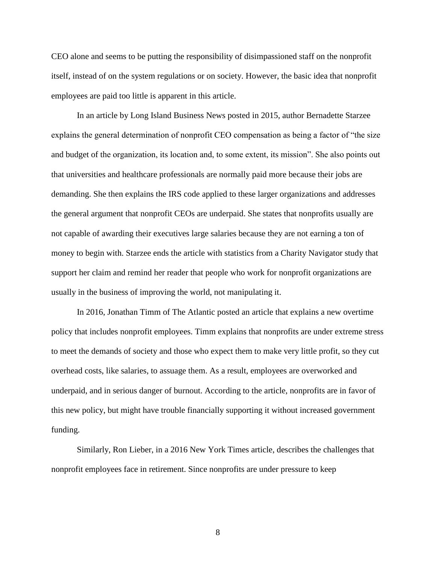CEO alone and seems to be putting the responsibility of disimpassioned staff on the nonprofit itself, instead of on the system regulations or on society. However, the basic idea that nonprofit employees are paid too little is apparent in this article.

In an article by Long Island Business News posted in 2015, author Bernadette Starzee explains the general determination of nonprofit CEO compensation as being a factor of "the size and budget of the organization, its location and, to some extent, its mission". She also points out that universities and healthcare professionals are normally paid more because their jobs are demanding. She then explains the IRS code applied to these larger organizations and addresses the general argument that nonprofit CEOs are underpaid. She states that nonprofits usually are not capable of awarding their executives large salaries because they are not earning a ton of money to begin with. Starzee ends the article with statistics from a Charity Navigator study that support her claim and remind her reader that people who work for nonprofit organizations are usually in the business of improving the world, not manipulating it.

In 2016, Jonathan Timm of The Atlantic posted an article that explains a new overtime policy that includes nonprofit employees. Timm explains that nonprofits are under extreme stress to meet the demands of society and those who expect them to make very little profit, so they cut overhead costs, like salaries, to assuage them. As a result, employees are overworked and underpaid, and in serious danger of burnout. According to the article, nonprofits are in favor of this new policy, but might have trouble financially supporting it without increased government funding.

Similarly, Ron Lieber, in a 2016 New York Times article, describes the challenges that nonprofit employees face in retirement. Since nonprofits are under pressure to keep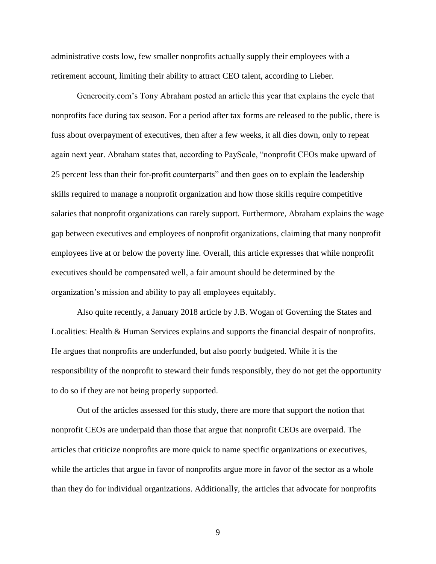administrative costs low, few smaller nonprofits actually supply their employees with a retirement account, limiting their ability to attract CEO talent, according to Lieber.

Generocity.com's Tony Abraham posted an article this year that explains the cycle that nonprofits face during tax season. For a period after tax forms are released to the public, there is fuss about overpayment of executives, then after a few weeks, it all dies down, only to repeat again next year. Abraham states that, according to PayScale, "nonprofit CEOs make upward of 25 percent less than their for-profit counterparts" and then goes on to explain the leadership skills required to manage a nonprofit organization and how those skills require competitive salaries that nonprofit organizations can rarely support. Furthermore, Abraham explains the wage gap between executives and employees of nonprofit organizations, claiming that many nonprofit employees live at or below the poverty line. Overall, this article expresses that while nonprofit executives should be compensated well, a fair amount should be determined by the organization's mission and ability to pay all employees equitably.

Also quite recently, a January 2018 article by J.B. Wogan of Governing the States and Localities: Health & Human Services explains and supports the financial despair of nonprofits. He argues that nonprofits are underfunded, but also poorly budgeted. While it is the responsibility of the nonprofit to steward their funds responsibly, they do not get the opportunity to do so if they are not being properly supported.

Out of the articles assessed for this study, there are more that support the notion that nonprofit CEOs are underpaid than those that argue that nonprofit CEOs are overpaid. The articles that criticize nonprofits are more quick to name specific organizations or executives, while the articles that argue in favor of nonprofits argue more in favor of the sector as a whole than they do for individual organizations. Additionally, the articles that advocate for nonprofits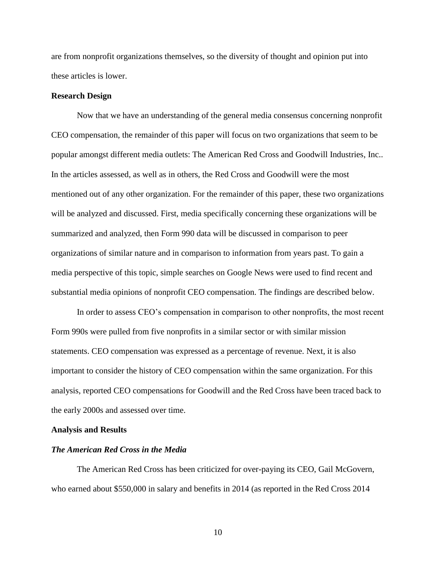are from nonprofit organizations themselves, so the diversity of thought and opinion put into these articles is lower.

# **Research Design**

Now that we have an understanding of the general media consensus concerning nonprofit CEO compensation, the remainder of this paper will focus on two organizations that seem to be popular amongst different media outlets: The American Red Cross and Goodwill Industries, Inc.. In the articles assessed, as well as in others, the Red Cross and Goodwill were the most mentioned out of any other organization. For the remainder of this paper, these two organizations will be analyzed and discussed. First, media specifically concerning these organizations will be summarized and analyzed, then Form 990 data will be discussed in comparison to peer organizations of similar nature and in comparison to information from years past. To gain a media perspective of this topic, simple searches on Google News were used to find recent and substantial media opinions of nonprofit CEO compensation. The findings are described below.

In order to assess CEO's compensation in comparison to other nonprofits, the most recent Form 990s were pulled from five nonprofits in a similar sector or with similar mission statements. CEO compensation was expressed as a percentage of revenue. Next, it is also important to consider the history of CEO compensation within the same organization. For this analysis, reported CEO compensations for Goodwill and the Red Cross have been traced back to the early 2000s and assessed over time.

#### **Analysis and Results**

#### *The American Red Cross in the Media*

The American Red Cross has been criticized for over-paying its CEO, Gail McGovern, who earned about \$550,000 in salary and benefits in 2014 (as reported in the Red Cross 2014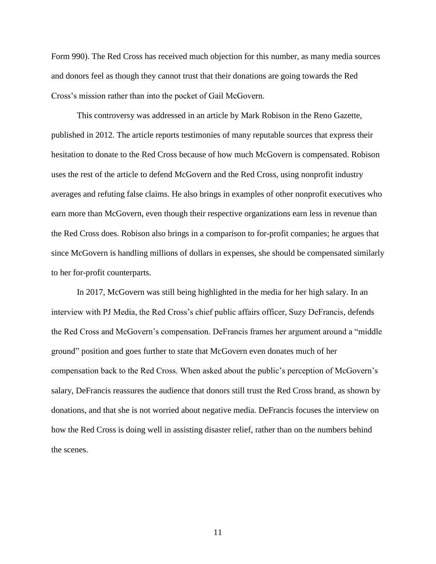Form 990). The Red Cross has received much objection for this number, as many media sources and donors feel as though they cannot trust that their donations are going towards the Red Cross's mission rather than into the pocket of Gail McGovern.

This controversy was addressed in an article by Mark Robison in the Reno Gazette, published in 2012. The article reports testimonies of many reputable sources that express their hesitation to donate to the Red Cross because of how much McGovern is compensated. Robison uses the rest of the article to defend McGovern and the Red Cross, using nonprofit industry averages and refuting false claims. He also brings in examples of other nonprofit executives who earn more than McGovern, even though their respective organizations earn less in revenue than the Red Cross does. Robison also brings in a comparison to for-profit companies; he argues that since McGovern is handling millions of dollars in expenses, she should be compensated similarly to her for-profit counterparts.

In 2017, McGovern was still being highlighted in the media for her high salary. In an interview with PJ Media, the Red Cross's chief public affairs officer, Suzy DeFrancis, defends the Red Cross and McGovern's compensation. DeFrancis frames her argument around a "middle ground" position and goes further to state that McGovern even donates much of her compensation back to the Red Cross. When asked about the public's perception of McGovern's salary, DeFrancis reassures the audience that donors still trust the Red Cross brand, as shown by donations, and that she is not worried about negative media. DeFrancis focuses the interview on how the Red Cross is doing well in assisting disaster relief, rather than on the numbers behind the scenes.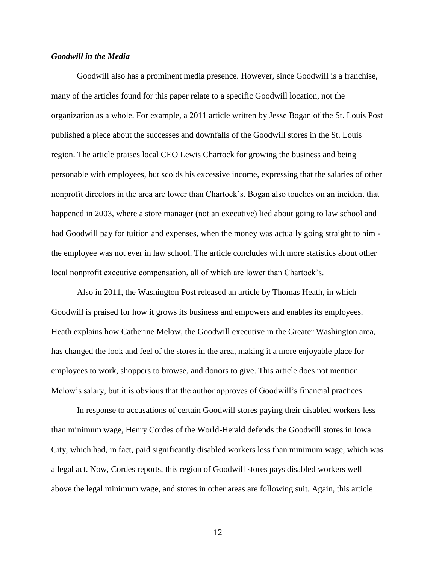# *Goodwill in the Media*

Goodwill also has a prominent media presence. However, since Goodwill is a franchise, many of the articles found for this paper relate to a specific Goodwill location, not the organization as a whole. For example, a 2011 article written by Jesse Bogan of the St. Louis Post published a piece about the successes and downfalls of the Goodwill stores in the St. Louis region. The article praises local CEO Lewis Chartock for growing the business and being personable with employees, but scolds his excessive income, expressing that the salaries of other nonprofit directors in the area are lower than Chartock's. Bogan also touches on an incident that happened in 2003, where a store manager (not an executive) lied about going to law school and had Goodwill pay for tuition and expenses, when the money was actually going straight to him the employee was not ever in law school. The article concludes with more statistics about other local nonprofit executive compensation, all of which are lower than Chartock's.

Also in 2011, the Washington Post released an article by Thomas Heath, in which Goodwill is praised for how it grows its business and empowers and enables its employees. Heath explains how Catherine Melow, the Goodwill executive in the Greater Washington area, has changed the look and feel of the stores in the area, making it a more enjoyable place for employees to work, shoppers to browse, and donors to give. This article does not mention Melow's salary, but it is obvious that the author approves of Goodwill's financial practices.

In response to accusations of certain Goodwill stores paying their disabled workers less than minimum wage, Henry Cordes of the World-Herald defends the Goodwill stores in Iowa City, which had, in fact, paid significantly disabled workers less than minimum wage, which was a legal act. Now, Cordes reports, this region of Goodwill stores pays disabled workers well above the legal minimum wage, and stores in other areas are following suit. Again, this article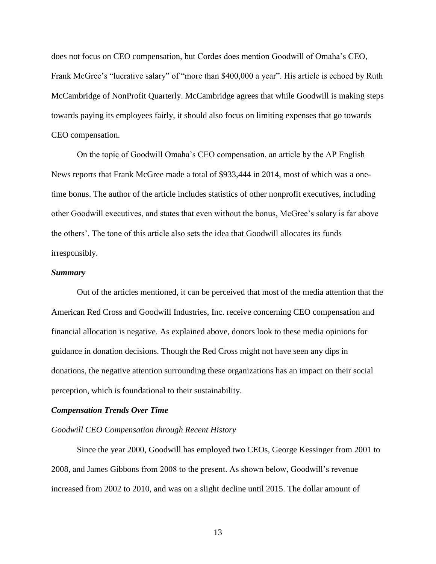does not focus on CEO compensation, but Cordes does mention Goodwill of Omaha's CEO, Frank McGree's "lucrative salary" of "more than \$400,000 a year". His article is echoed by Ruth McCambridge of NonProfit Quarterly. McCambridge agrees that while Goodwill is making steps towards paying its employees fairly, it should also focus on limiting expenses that go towards CEO compensation.

On the topic of Goodwill Omaha's CEO compensation, an article by the AP English News reports that Frank McGree made a total of \$933,444 in 2014, most of which was a onetime bonus. The author of the article includes statistics of other nonprofit executives, including other Goodwill executives, and states that even without the bonus, McGree's salary is far above the others'. The tone of this article also sets the idea that Goodwill allocates its funds irresponsibly.

#### *Summary*

Out of the articles mentioned, it can be perceived that most of the media attention that the American Red Cross and Goodwill Industries, Inc. receive concerning CEO compensation and financial allocation is negative. As explained above, donors look to these media opinions for guidance in donation decisions. Though the Red Cross might not have seen any dips in donations, the negative attention surrounding these organizations has an impact on their social perception, which is foundational to their sustainability.

#### *Compensation Trends Over Time*

## *Goodwill CEO Compensation through Recent History*

Since the year 2000, Goodwill has employed two CEOs, George Kessinger from 2001 to 2008, and James Gibbons from 2008 to the present. As shown below, Goodwill's revenue increased from 2002 to 2010, and was on a slight decline until 2015. The dollar amount of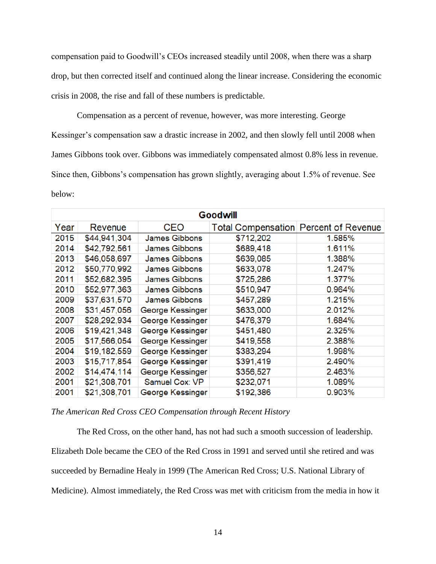compensation paid to Goodwill's CEOs increased steadily until 2008, when there was a sharp drop, but then corrected itself and continued along the linear increase. Considering the economic crisis in 2008, the rise and fall of these numbers is predictable.

Compensation as a percent of revenue, however, was more interesting. George Kessinger's compensation saw a drastic increase in 2002, and then slowly fell until 2008 when James Gibbons took over. Gibbons was immediately compensated almost 0.8% less in revenue. Since then, Gibbons's compensation has grown slightly, averaging about 1.5% of revenue. See below:

| <b>Goodwill</b> |              |                      |                                       |        |  |
|-----------------|--------------|----------------------|---------------------------------------|--------|--|
| Year            | Revenue      | CEO                  | Total Compensation Percent of Revenue |        |  |
| 2015            | \$44,941,304 | <b>James Gibbons</b> | \$712,202                             | 1.585% |  |
| 2014            | \$42,792,561 | <b>James Gibbons</b> | \$689,418                             | 1.611% |  |
| 2013            | \$46,058,697 | <b>James Gibbons</b> | \$639,085                             | 1.388% |  |
| 2012            | \$50,770,992 | <b>James Gibbons</b> | \$633,078                             | 1.247% |  |
| 2011            | \$52,682,395 | <b>James Gibbons</b> | \$725,286                             | 1.377% |  |
| 2010            | \$52,977,363 | <b>James Gibbons</b> | \$510,947                             | 0.964% |  |
| 2009            | \$37,631,570 | <b>James Gibbons</b> | \$457,289                             | 1.215% |  |
| 2008            | \$31,457,056 | George Kessinger     | \$633,000                             | 2.012% |  |
| 2007            | \$28,292,934 | George Kessinger     | \$476,379                             | 1.684% |  |
| 2006            | \$19,421,348 | George Kessinger     | \$451,480                             | 2.325% |  |
| 2005            | \$17,566,054 | George Kessinger     | \$419,558                             | 2.388% |  |
| 2004            | \$19,182,559 | George Kessinger     | \$383,294                             | 1.998% |  |
| 2003            | \$15,717,854 | George Kessinger     | \$391,419                             | 2.490% |  |
| 2002            | \$14,474,114 | George Kessinger     | \$356,527                             | 2.463% |  |
| 2001            | \$21,308,701 | Samuel Cox: VP       | \$232,071                             | 1.089% |  |
| 2001            | \$21,308,701 | George Kessinger     | \$192,386                             | 0.903% |  |

## *The American Red Cross CEO Compensation through Recent History*

The Red Cross, on the other hand, has not had such a smooth succession of leadership. Elizabeth Dole became the CEO of the Red Cross in 1991 and served until she retired and was succeeded by Bernadine Healy in 1999 (The American Red Cross; U.S. National Library of Medicine). Almost immediately, the Red Cross was met with criticism from the media in how it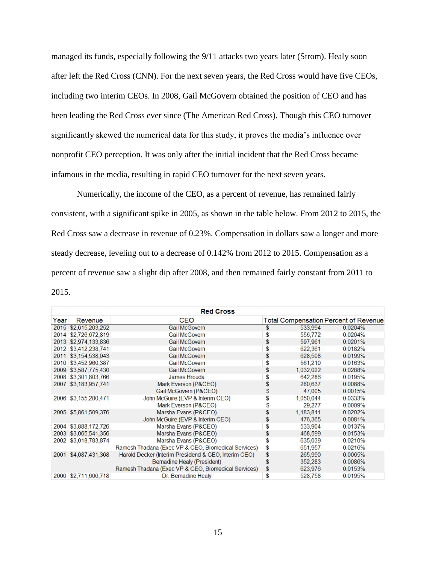managed its funds, especially following the 9/11 attacks two years later (Strom). Healy soon after left the Red Cross (CNN). For the next seven years, the Red Cross would have five CEOs, including two interim CEOs. In 2008, Gail McGovern obtained the position of CEO and has been leading the Red Cross ever since (The American Red Cross). Though this CEO turnover significantly skewed the numerical data for this study, it proves the media's influence over nonprofit CEO perception. It was only after the initial incident that the Red Cross became infamous in the media, resulting in rapid CEO turnover for the next seven years.

Numerically, the income of the CEO, as a percent of revenue, has remained fairly consistent, with a significant spike in 2005, as shown in the table below. From 2012 to 2015, the Red Cross saw a decrease in revenue of 0.23%. Compensation in dollars saw a longer and more steady decrease, leveling out to a decrease of 0.142% from 2012 to 2015. Compensation as a percent of revenue saw a slight dip after 2008, and then remained fairly constant from 2011 to 2015.

| <b>Red Cross</b> |                      |                                                      |    |           |                                              |  |  |
|------------------|----------------------|------------------------------------------------------|----|-----------|----------------------------------------------|--|--|
| Year             | Revenue              | <b>CEO</b>                                           |    |           | <b>Total Compensation Percent of Revenue</b> |  |  |
|                  | 2015 \$2,615,203,252 | <b>Gail McGovern</b>                                 | \$ | 533,994   | 0.0204%                                      |  |  |
|                  | 2014 \$2,726,672,819 | <b>Gail McGovern</b>                                 | \$ | 556,772   | 0.0204%                                      |  |  |
|                  | 2013 \$2,974,133,836 | <b>Gail McGovern</b>                                 | \$ | 597,961   | 0.0201%                                      |  |  |
|                  | 2012 \$3,412,238,741 | <b>Gail McGovern</b>                                 | \$ | 622,361   | 0.0182%                                      |  |  |
|                  | 2011 \$3,154,538,043 | <b>Gail McGovern</b>                                 | \$ | 628,508   | 0.0199%                                      |  |  |
|                  | 2010 \$3,452,960,387 | <b>Gail McGovern</b>                                 | \$ | 561,210   | 0.0163%                                      |  |  |
|                  | 2009 \$3,587,775,430 | <b>Gail McGovern</b>                                 | \$ | 1,032,022 | 0.0288%                                      |  |  |
|                  | 2008 \$3,301,803,766 | <b>James Hrouda</b>                                  | \$ | 642,286   | 0.0195%                                      |  |  |
|                  | 2007 \$3,183,957,741 | Mark Everson (P&CEO)                                 | \$ | 280,637   | 0.0088%                                      |  |  |
|                  |                      | Gail McGovern (P&CEO)                                | \$ | 47,005    | 0.0015%                                      |  |  |
|                  | 2006 \$3,155,280,471 | John McGuire (EVP & Interim CEO)                     | \$ | 1,050,044 | 0.0333%                                      |  |  |
|                  |                      | Mark Everson (P&CEO)                                 | \$ | 29,277    | 0.0009%                                      |  |  |
|                  | 2005 \$5,861,509,376 | Marsha Evans (P&CEO)                                 | \$ | 1,183,811 | 0.0202%                                      |  |  |
|                  |                      | John McGuire (EVP & Interim CEO)                     | \$ | 476,365   | 0.0081%                                      |  |  |
|                  | 2004 \$3,888,172,726 | Marsha Evans (P&CEO)                                 | \$ | 533,904   | 0.0137%                                      |  |  |
|                  | 2003 \$3,065,541,356 | Marsha Evans (P&CEO)                                 | \$ | 468,599   | 0.0153%                                      |  |  |
|                  | 2002 \$3,018,783,874 | Marsha Evans (P&CEO)                                 | \$ | 635,039   | 0.0210%                                      |  |  |
|                  |                      | Ramesh Thadana (Exec VP & CEO, Biomedical Services)  | \$ | 651,957   | 0.0216%                                      |  |  |
|                  | 2001 \$4,087,431,368 | Harold Decker (Interim Presidend & CEO, Interim CEO) | \$ | 265,990   | 0.0065%                                      |  |  |
|                  |                      | Bernadine Healy (President)                          | \$ | 352,283   | 0.0086%                                      |  |  |
|                  |                      | Ramesh Thadana (Exec VP & CEO, Biomedical Services)  | \$ | 623,976   | 0.0153%                                      |  |  |
|                  | 2000 \$2,711,606,718 | Dr. Bernadine Healy                                  | \$ | 528,758   | 0.0195%                                      |  |  |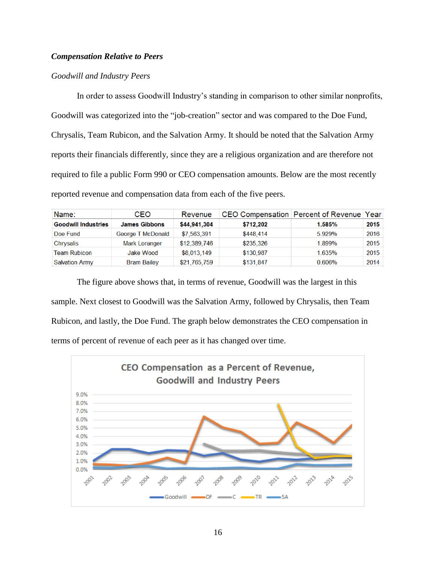# *Compensation Relative to Peers*

# *Goodwill and Industry Peers*

In order to assess Goodwill Industry's standing in comparison to other similar nonprofits, Goodwill was categorized into the "job-creation" sector and was compared to the Doe Fund, Chrysalis, Team Rubicon, and the Salvation Army. It should be noted that the Salvation Army reports their financials differently, since they are a religious organization and are therefore not required to file a public Form 990 or CEO compensation amounts. Below are the most recently reported revenue and compensation data from each of the five peers.

| Name:                      | CEO                  | Revenue      |           | CEO Compensation Percent of Revenue Year |      |
|----------------------------|----------------------|--------------|-----------|------------------------------------------|------|
| <b>Goodwill Industries</b> | <b>James Gibbons</b> | \$44,941,304 | \$712,202 | 1.585%                                   | 2015 |
| Doe Fund                   | George T McDonald    | \$7,563,391  | \$448,414 | 5.929%                                   | 2016 |
| Chrysalis                  | <b>Mark Loranger</b> | \$12,389,746 | \$235,326 | 1.899%                                   | 2015 |
| <b>Team Rubicon</b>        | <b>Jake Wood</b>     | \$8,013,149  | \$130,987 | 1.635%                                   | 2015 |
| <b>Salvation Army</b>      | <b>Bram Bailey</b>   | \$21,765,759 | \$131.847 | 0.606%                                   | 2014 |

The figure above shows that, in terms of revenue, Goodwill was the largest in this sample. Next closest to Goodwill was the Salvation Army, followed by Chrysalis, then Team Rubicon, and lastly, the Doe Fund. The graph below demonstrates the CEO compensation in terms of percent of revenue of each peer as it has changed over time.

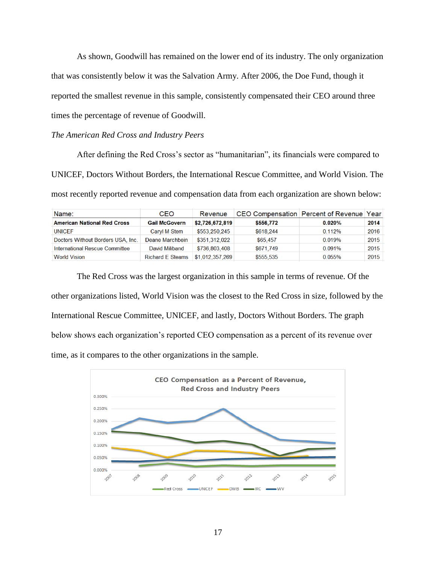As shown, Goodwill has remained on the lower end of its industry. The only organization that was consistently below it was the Salvation Army. After 2006, the Doe Fund, though it reported the smallest revenue in this sample, consistently compensated their CEO around three times the percentage of revenue of Goodwill.

# *The American Red Cross and Industry Peers*

After defining the Red Cross's sector as "humanitarian", its financials were compared to UNICEF, Doctors Without Borders, the International Rescue Committee, and World Vision. The most recently reported revenue and compensation data from each organization are shown below:

| Name:                              | CEO                     | Revenue         |           | CEO Compensation   Percent of Revenue   Year |      |
|------------------------------------|-------------------------|-----------------|-----------|----------------------------------------------|------|
| <b>American National Red Cross</b> | <b>Gail McGovern</b>    | \$2,726,672,819 | \$556,772 | $0.020\%$                                    | 2014 |
| <b>UNICEF</b>                      | Caryl M Stem            | \$553,250,245   | \$618,244 | 0.112%                                       | 2016 |
| Doctors Without Borders USA, Inc.  | Deane Marchbein         | \$351,312,022   | \$65,457  | 0.019%                                       | 2015 |
| International Rescue Committee     | David Miliband          | \$736,803,408   | \$671.749 | 0.091%                                       | 2015 |
| <b>World Vision</b>                | <b>Richard E Steams</b> | \$1,012,357,269 | \$555,535 | 0.055%                                       | 2015 |

The Red Cross was the largest organization in this sample in terms of revenue. Of the other organizations listed, World Vision was the closest to the Red Cross in size, followed by the International Rescue Committee, UNICEF, and lastly, Doctors Without Borders. The graph below shows each organization's reported CEO compensation as a percent of its revenue over time, as it compares to the other organizations in the sample.

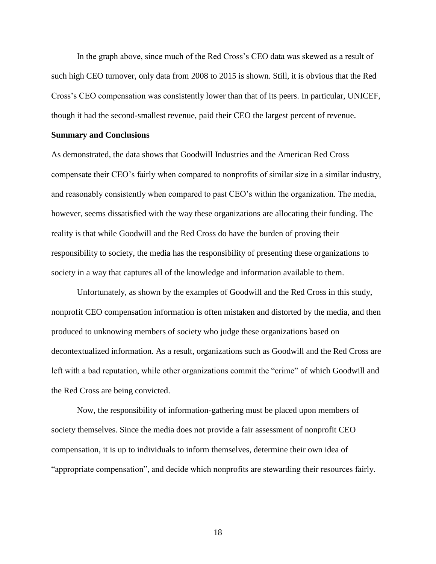In the graph above, since much of the Red Cross's CEO data was skewed as a result of such high CEO turnover, only data from 2008 to 2015 is shown. Still, it is obvious that the Red Cross's CEO compensation was consistently lower than that of its peers. In particular, UNICEF, though it had the second-smallest revenue, paid their CEO the largest percent of revenue.

#### **Summary and Conclusions**

As demonstrated, the data shows that Goodwill Industries and the American Red Cross compensate their CEO's fairly when compared to nonprofits of similar size in a similar industry, and reasonably consistently when compared to past CEO's within the organization. The media, however, seems dissatisfied with the way these organizations are allocating their funding. The reality is that while Goodwill and the Red Cross do have the burden of proving their responsibility to society, the media has the responsibility of presenting these organizations to society in a way that captures all of the knowledge and information available to them.

Unfortunately, as shown by the examples of Goodwill and the Red Cross in this study, nonprofit CEO compensation information is often mistaken and distorted by the media, and then produced to unknowing members of society who judge these organizations based on decontextualized information. As a result, organizations such as Goodwill and the Red Cross are left with a bad reputation, while other organizations commit the "crime" of which Goodwill and the Red Cross are being convicted.

Now, the responsibility of information-gathering must be placed upon members of society themselves. Since the media does not provide a fair assessment of nonprofit CEO compensation, it is up to individuals to inform themselves, determine their own idea of "appropriate compensation", and decide which nonprofits are stewarding their resources fairly.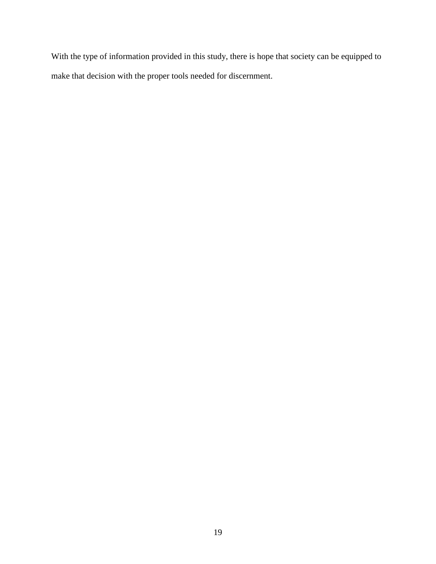With the type of information provided in this study, there is hope that society can be equipped to make that decision with the proper tools needed for discernment.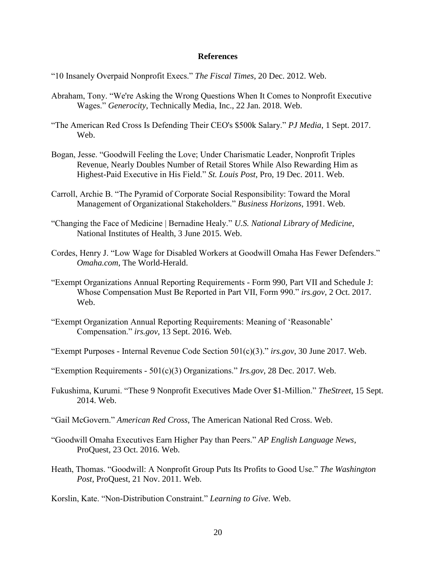# **References**

- "10 Insanely Overpaid Nonprofit Execs." *The Fiscal Times*, 20 Dec. 2012. Web.
- Abraham, Tony. "We're Asking the Wrong Questions When It Comes to Nonprofit Executive Wages." *Generocity*, Technically Media, Inc., 22 Jan. 2018. Web.
- "The American Red Cross Is Defending Their CEO's \$500k Salary." *PJ Media*, 1 Sept. 2017. Web.
- Bogan, Jesse. "Goodwill Feeling the Love; Under Charismatic Leader, Nonprofit Triples Revenue, Nearly Doubles Number of Retail Stores While Also Rewarding Him as Highest-Paid Executive in His Field." *St. Louis Post*, Pro, 19 Dec. 2011. Web.
- Carroll, Archie B. "The Pyramid of Corporate Social Responsibility: Toward the Moral Management of Organizational Stakeholders." *Business Horizons*, 1991. Web.
- "Changing the Face of Medicine | Bernadine Healy." *U.S. National Library of Medicine*, National Institutes of Health, 3 June 2015. Web.
- Cordes, Henry J. "Low Wage for Disabled Workers at Goodwill Omaha Has Fewer Defenders." *Omaha.com*, The World-Herald.
- "Exempt Organizations Annual Reporting Requirements Form 990, Part VII and Schedule J: Whose Compensation Must Be Reported in Part VII, Form 990." *irs.gov*, 2 Oct. 2017. Web.
- "Exempt Organization Annual Reporting Requirements: Meaning of 'Reasonable' Compensation." *irs.gov*, 13 Sept. 2016. Web.
- "Exempt Purposes Internal Revenue Code Section 501(c)(3)." *irs.gov*, 30 June 2017. Web.
- "Exemption Requirements 501(c)(3) Organizations." *Irs.gov*, 28 Dec. 2017. Web.
- Fukushima, Kurumi. "These 9 Nonprofit Executives Made Over \$1-Million." *TheStreet*, 15 Sept. 2014. Web.
- "Gail McGovern." *American Red Cross*, The American National Red Cross. Web.
- "Goodwill Omaha Executives Earn Higher Pay than Peers." *AP English Language News*, ProQuest, 23 Oct. 2016. Web.
- Heath, Thomas. "Goodwill: A Nonprofit Group Puts Its Profits to Good Use." *The Washington Post*, ProQuest, 21 Nov. 2011. Web.

Korslin, Kate. "Non-Distribution Constraint." *Learning to Give*. Web.